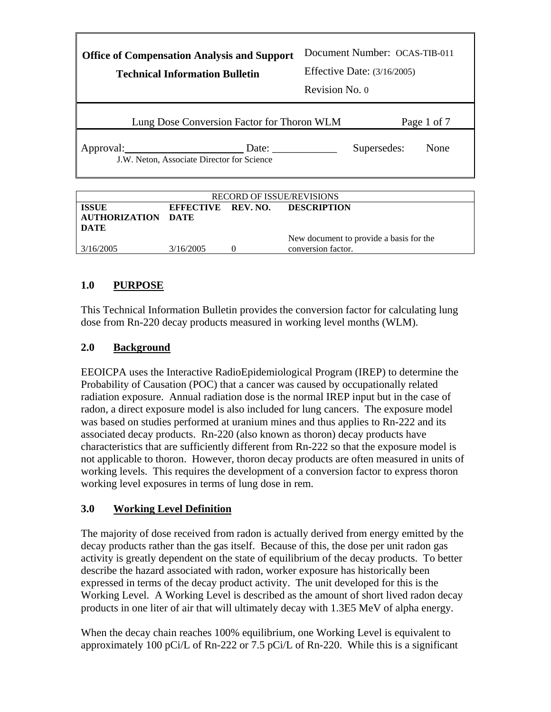| <b>Office of Compensation Analysis and Support</b><br><b>Technical Information Bulletin</b> | Revision No. 0 | Document Number: OCAS-TIB-011<br><b>Effective Date: (3/16/2005)</b> |             |
|---------------------------------------------------------------------------------------------|----------------|---------------------------------------------------------------------|-------------|
| Lung Dose Conversion Factor for Thoron WLM                                                  |                |                                                                     | Page 1 of 7 |
| Approval:<br>Date:<br>J.W. Neton, Associate Director for Science                            |                | Supersedes:                                                         | None        |

| <b>RECORD OF ISSUE/REVISIONS</b>           |           |  |                                                               |
|--------------------------------------------|-----------|--|---------------------------------------------------------------|
| <b>ISSUE</b><br>AUTHORIZATION DATE<br>DATE |           |  | EFFECTIVE REV. NO. DESCRIPTION                                |
| 3/16/2005                                  | 3/16/2005 |  | New document to provide a basis for the<br>conversion factor. |

# **1.0 PURPOSE**

This Technical Information Bulletin provides the conversion factor for calculating lung dose from Rn-220 decay products measured in working level months (WLM).

### **2.0 Background**

EEOICPA uses the Interactive RadioEpidemiological Program (IREP) to determine the Probability of Causation (POC) that a cancer was caused by occupationally related radiation exposure. Annual radiation dose is the normal IREP input but in the case of radon, a direct exposure model is also included for lung cancers. The exposure model was based on studies performed at uranium mines and thus applies to Rn-222 and its associated decay products. Rn-220 (also known as thoron) decay products have characteristics that are sufficiently different from Rn-222 so that the exposure model is not applicable to thoron. However, thoron decay products are often measured in units of working levels. This requires the development of a conversion factor to express thoron working level exposures in terms of lung dose in rem.

## **3.0 Working Level Definition**

The majority of dose received from radon is actually derived from energy emitted by the decay products rather than the gas itself. Because of this, the dose per unit radon gas activity is greatly dependent on the state of equilibrium of the decay products. To better describe the hazard associated with radon, worker exposure has historically been expressed in terms of the decay product activity. The unit developed for this is the Working Level. A Working Level is described as the amount of short lived radon decay products in one liter of air that will ultimately decay with 1.3E5 MeV of alpha energy.

When the decay chain reaches 100% equilibrium, one Working Level is equivalent to approximately 100 pCi/L of Rn-222 or 7.5 pCi/L of Rn-220. While this is a significant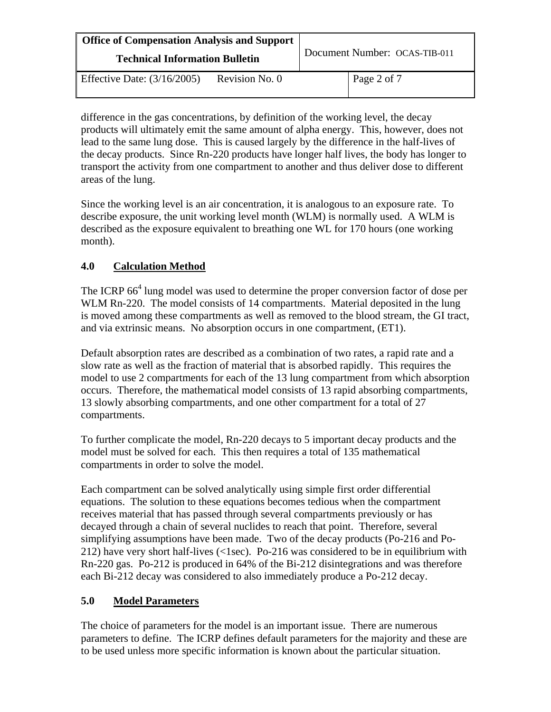| <b>Office of Compensation Analysis and Support</b><br><b>Technical Information Bulletin</b> |                | Document Number: OCAS-TIB-011 |             |
|---------------------------------------------------------------------------------------------|----------------|-------------------------------|-------------|
| Effective Date: $(3/16/2005)$                                                               | Revision No. 0 |                               | Page 2 of 7 |

difference in the gas concentrations, by definition of the working level, the decay products will ultimately emit the same amount of alpha energy. This, however, does not lead to the same lung dose. This is caused largely by the difference in the half-lives of the decay products. Since Rn-220 products have longer half lives, the body has longer to transport the activity from one compartment to another and thus deliver dose to different areas of the lung.

Since the working level is an air concentration, it is analogous to an exposure rate. To describe exposure, the unit working level month (WLM) is normally used. A WLM is described as the exposure equivalent to breathing one WL for 170 hours (one working month).

# **4.0 Calculation Method**

The ICRP  $66<sup>4</sup>$  lung model was used to determine the proper conversion factor of dose per WLM Rn-220. The model consists of 14 compartments. Material deposited in the lung is moved among these compartments as well as removed to the blood stream, the GI tract, and via extrinsic means. No absorption occurs in one compartment, (ET1).

Default absorption rates are described as a combination of two rates, a rapid rate and a slow rate as well as the fraction of material that is absorbed rapidly. This requires the model to use 2 compartments for each of the 13 lung compartment from which absorption occurs. Therefore, the mathematical model consists of 13 rapid absorbing compartments, 13 slowly absorbing compartments, and one other compartment for a total of 27 compartments.

To further complicate the model, Rn-220 decays to 5 important decay products and the model must be solved for each. This then requires a total of 135 mathematical compartments in order to solve the model.

Each compartment can be solved analytically using simple first order differential equations. The solution to these equations becomes tedious when the compartment receives material that has passed through several compartments previously or has decayed through a chain of several nuclides to reach that point. Therefore, several simplifying assumptions have been made. Two of the decay products (Po-216 and Po-212) have very short half-lives (<1sec). Po-216 was considered to be in equilibrium with Rn-220 gas. Po-212 is produced in 64% of the Bi-212 disintegrations and was therefore each Bi-212 decay was considered to also immediately produce a Po-212 decay.

### **5.0 Model Parameters**

The choice of parameters for the model is an important issue. There are numerous parameters to define. The ICRP defines default parameters for the majority and these are to be used unless more specific information is known about the particular situation.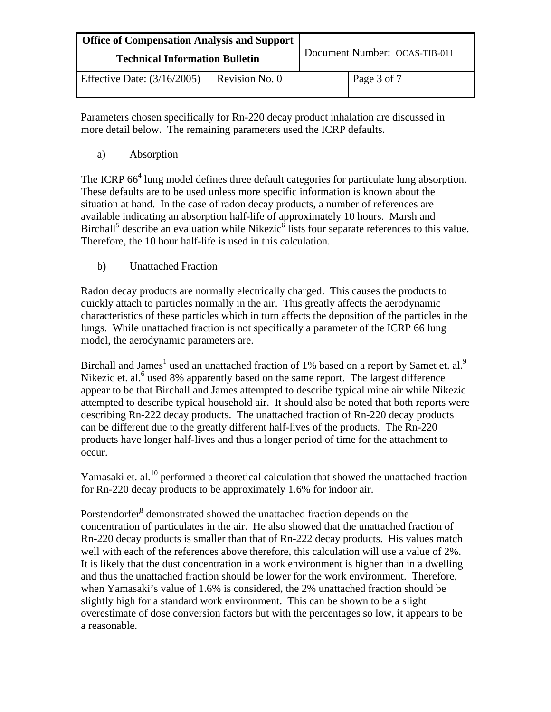| <b>Office of Compensation Analysis and Support</b><br><b>Technical Information Bulletin</b> |                | Document Number: OCAS-TIB-011 |               |
|---------------------------------------------------------------------------------------------|----------------|-------------------------------|---------------|
| Effective Date: $(3/16/2005)$                                                               | Revision No. 0 |                               | Page 3 of $7$ |

Parameters chosen specifically for Rn-220 decay product inhalation are discussed in more detail below. The remaining parameters used the ICRP defaults.

a) Absorption

The ICRP 66<sup>4</sup> lung model defines three default categories for particulate lung absorption. These defaults are to be used unless more specific information is known about the situation at hand. In the case of radon decay products, a number of references are available indicating an absorption half-life of approximately 10 hours. Marsh and Birchall<sup>5</sup> describe an evaluation while Nikezic<sup>6</sup> lists four separate references to this value. Therefore, the 10 hour half-life is used in this calculation.

b) Unattached Fraction

Radon decay products are normally electrically charged. This causes the products to quickly attach to particles normally in the air. This greatly affects the aerodynamic characteristics of these particles which in turn affects the deposition of the particles in the lungs. While unattached fraction is not specifically a parameter of the ICRP 66 lung model, the aerodynamic parameters are.

Birchall and James<sup>1</sup> used an unattached fraction of 1% based on a report by Samet et. al.<sup>9</sup> Nikezic et. al.<sup>6</sup> used 8% apparently based on the same report. The largest difference appear to be that Birchall and James attempted to describe typical mine air while Nikezic attempted to describe typical household air. It should also be noted that both reports were describing Rn-222 decay products. The unattached fraction of Rn-220 decay products can be different due to the greatly different half-lives of the products. The Rn-220 products have longer half-lives and thus a longer period of time for the attachment to occur.

Yamasaki et. al.<sup>10</sup> performed a theoretical calculation that showed the unattached fraction for Rn-220 decay products to be approximately 1.6% for indoor air.

Porstendorfer<sup>8</sup> demonstrated showed the unattached fraction depends on the concentration of particulates in the air. He also showed that the unattached fraction of Rn-220 decay products is smaller than that of Rn-222 decay products. His values match well with each of the references above therefore, this calculation will use a value of 2%. It is likely that the dust concentration in a work environment is higher than in a dwelling and thus the unattached fraction should be lower for the work environment. Therefore, when Yamasaki's value of 1.6% is considered, the 2% unattached fraction should be slightly high for a standard work environment. This can be shown to be a slight overestimate of dose conversion factors but with the percentages so low, it appears to be a reasonable.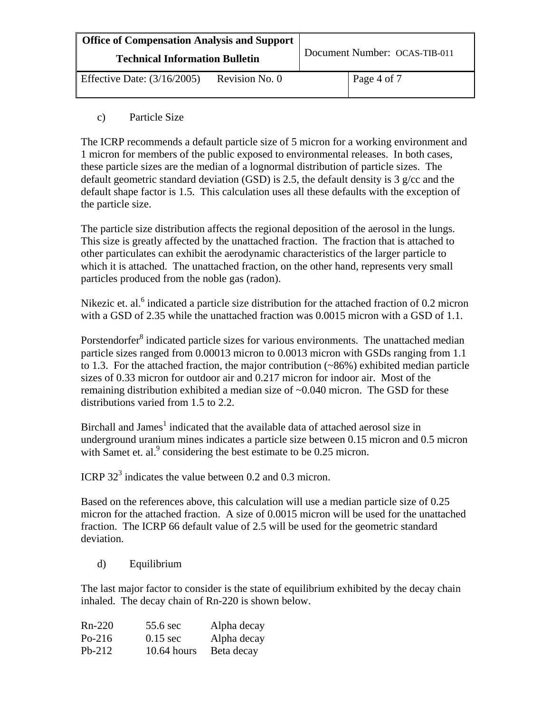| <b>Office of Compensation Analysis and Support</b><br><b>Technical Information Bulletin</b> |                | Document Number: OCAS-TIB-011 |             |
|---------------------------------------------------------------------------------------------|----------------|-------------------------------|-------------|
| Effective Date: $(3/16/2005)$                                                               | Revision No. 0 |                               | Page 4 of 7 |

c) Particle Size

The ICRP recommends a default particle size of 5 micron for a working environment and 1 micron for members of the public exposed to environmental releases. In both cases, these particle sizes are the median of a lognormal distribution of particle sizes. The default geometric standard deviation (GSD) is 2.5, the default density is 3  $g/cc$  and the default shape factor is 1.5. This calculation uses all these defaults with the exception of the particle size.

The particle size distribution affects the regional deposition of the aerosol in the lungs. This size is greatly affected by the unattached fraction. The fraction that is attached to other particulates can exhibit the aerodynamic characteristics of the larger particle to which it is attached. The unattached fraction, on the other hand, represents very small particles produced from the noble gas (radon).

Nikezic et. al.<sup>6</sup> indicated a particle size distribution for the attached fraction of 0.2 micron with a GSD of 2.35 while the unattached fraction was 0.0015 micron with a GSD of 1.1.

Porstendorfer $\delta$  indicated particle sizes for various environments. The unattached median particle sizes ranged from 0.00013 micron to 0.0013 micron with GSDs ranging from 1.1 to 1.3. For the attached fraction, the major contribution  $(\sim 86\%)$  exhibited median particle sizes of 0.33 micron for outdoor air and 0.217 micron for indoor air. Most of the remaining distribution exhibited a median size of ~0.040 micron. The GSD for these distributions varied from 1.5 to 2.2.

Birchall and James<sup>1</sup> indicated that the available data of attached aerosol size in underground uranium mines indicates a particle size between 0.15 micron and 0.5 micron with Samet et. al. $9$  considering the best estimate to be 0.25 micron.

ICRP  $32<sup>3</sup>$  indicates the value between 0.2 and 0.3 micron.

Based on the references above, this calculation will use a median particle size of 0.25 micron for the attached fraction. A size of 0.0015 micron will be used for the unattached fraction. The ICRP 66 default value of 2.5 will be used for the geometric standard deviation.

d) Equilibrium

The last major factor to consider is the state of equilibrium exhibited by the decay chain inhaled. The decay chain of Rn-220 is shown below.

| $Rn-220$ | 55.6 sec           | Alpha decay |
|----------|--------------------|-------------|
| $Po-216$ | $0.15 \text{ sec}$ | Alpha decay |
| $Pb-212$ | $10.64$ hours      | Beta decay  |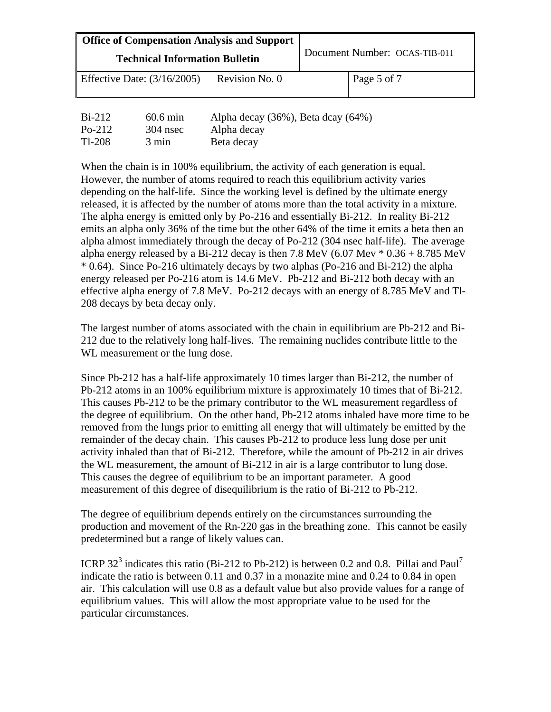| Office of Compensation Analysis and Support<br><b>Technical Information Bulletin</b> | Document Number: OCAS-TIB-011     |
|--------------------------------------------------------------------------------------|-----------------------------------|
| Revision No. 0<br>Effective Date: $(3/16/2005)$                                      | Page 5 of 7                       |
| <b>D'AIA</b>                                                                         | $(0.620)$ $\mathbb{R}$ $(1.6210)$ |

| $Bi-212$ | $60.6$ min | Alpha decay $(36\%)$ , Beta dcay $(64\%)$ |
|----------|------------|-------------------------------------------|
| Po-212   | $304$ nsec | Alpha decay                               |
| Tl-208   | 3 min      | Beta decay                                |

When the chain is in 100% equilibrium, the activity of each generation is equal. However, the number of atoms required to reach this equilibrium activity varies depending on the half-life. Since the working level is defined by the ultimate energy released, it is affected by the number of atoms more than the total activity in a mixture. The alpha energy is emitted only by Po-216 and essentially Bi-212. In reality Bi-212 emits an alpha only 36% of the time but the other 64% of the time it emits a beta then an alpha almost immediately through the decay of Po-212 (304 nsec half-life). The average alpha energy released by a Bi-212 decay is then 7.8 MeV (6.07 Mev  $*$  0.36 + 8.785 MeV \* 0.64). Since Po-216 ultimately decays by two alphas (Po-216 and Bi-212) the alpha energy released per Po-216 atom is 14.6 MeV. Pb-212 and Bi-212 both decay with an effective alpha energy of 7.8 MeV. Po-212 decays with an energy of 8.785 MeV and Tl-208 decays by beta decay only.

The largest number of atoms associated with the chain in equilibrium are Pb-212 and Bi-212 due to the relatively long half-lives. The remaining nuclides contribute little to the WL measurement or the lung dose.

Since Pb-212 has a half-life approximately 10 times larger than Bi-212, the number of Pb-212 atoms in an 100% equilibrium mixture is approximately 10 times that of Bi-212. This causes Pb-212 to be the primary contributor to the WL measurement regardless of the degree of equilibrium. On the other hand, Pb-212 atoms inhaled have more time to be removed from the lungs prior to emitting all energy that will ultimately be emitted by the remainder of the decay chain. This causes Pb-212 to produce less lung dose per unit activity inhaled than that of Bi-212. Therefore, while the amount of Pb-212 in air drives the WL measurement, the amount of Bi-212 in air is a large contributor to lung dose. This causes the degree of equilibrium to be an important parameter. A good measurement of this degree of disequilibrium is the ratio of Bi-212 to Pb-212.

The degree of equilibrium depends entirely on the circumstances surrounding the production and movement of the Rn-220 gas in the breathing zone. This cannot be easily predetermined but a range of likely values can.

ICRP 32<sup>3</sup> indicates this ratio (Bi-212 to Pb-212) is between 0.2 and 0.8. Pillai and Paul<sup>7</sup> indicate the ratio is between 0.11 and 0.37 in a monazite mine and 0.24 to 0.84 in open air. This calculation will use 0.8 as a default value but also provide values for a range of equilibrium values. This will allow the most appropriate value to be used for the particular circumstances.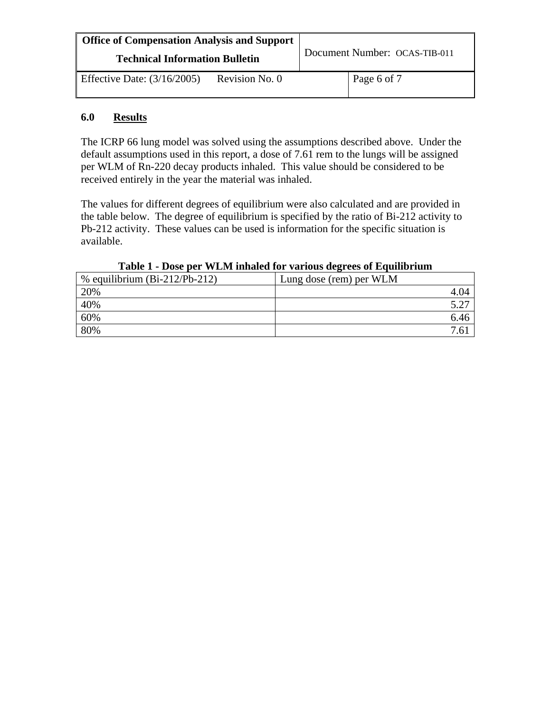| <b>Office of Compensation Analysis and Support</b><br><b>Technical Information Bulletin</b> |                | Document Number: OCAS-TIB-011 |  |
|---------------------------------------------------------------------------------------------|----------------|-------------------------------|--|
| Effective Date: $(3/16/2005)$                                                               | Revision No. 0 | Page 6 of 7                   |  |

#### **6.0 Results**

The ICRP 66 lung model was solved using the assumptions described above. Under the default assumptions used in this report, a dose of 7.61 rem to the lungs will be assigned per WLM of Rn-220 decay products inhaled. This value should be considered to be received entirely in the year the material was inhaled.

The values for different degrees of equilibrium were also calculated and are provided in the table below. The degree of equilibrium is specified by the ratio of Bi-212 activity to Pb-212 activity. These values can be used is information for the specific situation is available.

| % equilibrium $(Bi-212/Pb-212)$ | Lung dose (rem) per WLM |
|---------------------------------|-------------------------|
| 20%                             | 4.04                    |
| 40%                             |                         |
| 60%                             | 6.46                    |
| 80%                             | .6                      |

#### **Table 1 - Dose per WLM inhaled for various degrees of Equilibrium**